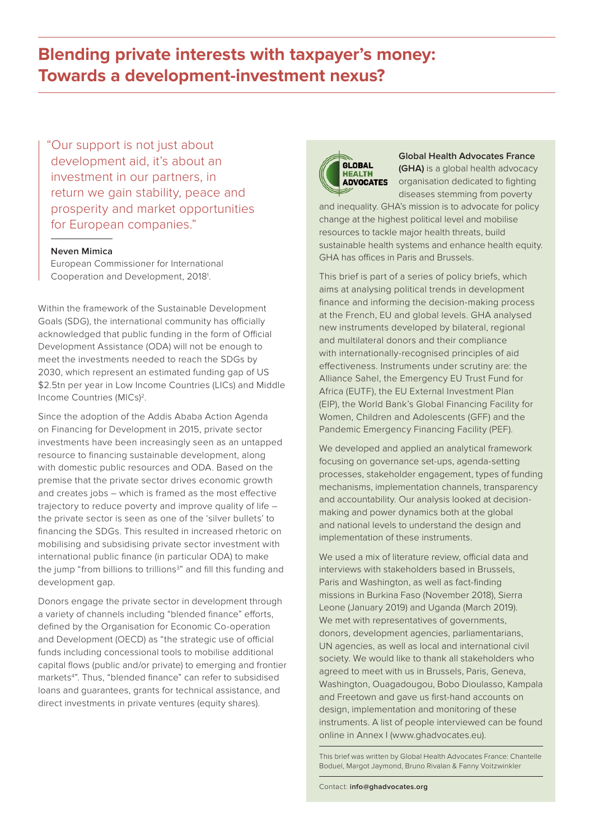# **Blending private interests with taxpayer's money: Towards a development-investment nexus?**

"Our support is not just about development aid, it's about an investment in our partners, in return we gain stability, peace and prosperity and market opportunities for European companies."

#### **Neven Mimica**

European Commissioner for International Cooperation and Development, 2018<sup>1</sup>.

Within the framework of the Sustainable Development Goals (SDG), the international community has officially acknowledged that public funding in the form of Official Development Assistance (ODA) will not be enough to meet the investments needed to reach the SDGs by 2030, which represent an estimated funding gap of US \$2.5tn per year in Low Income Countries (LICs) and Middle Income Countries (MICs)<sup>2</sup>.

Since the adoption of the Addis Ababa Action Agenda on Financing for Development in 2015, private sector investments have been increasingly seen as an untapped resource to financing sustainable development, along with domestic public resources and ODA. Based on the premise that the private sector drives economic growth and creates jobs – which is framed as the most effective trajectory to reduce poverty and improve quality of life – the private sector is seen as one of the 'silver bullets' to financing the SDGs. This resulted in increased rhetoric on mobilising and subsidising private sector investment with international public finance (in particular ODA) to make the jump "from billions to trillions<sup>3</sup>" and fill this funding and development gap.

Donors engage the private sector in development through a variety of channels including "blended finance" efforts, defined by the Organisation for Economic Co-operation and Development (OECD) as "the strategic use of official funds including concessional tools to mobilise additional capital flows (public and/or private) to emerging and frontier markets<sup>4</sup>". Thus, "blended finance" can refer to subsidised loans and guarantees, grants for technical assistance, and direct investments in private ventures (equity shares).



**Global Health Advocates France (GHA)** is a global health advocacy organisation dedicated to fighting diseases stemming from poverty

and inequality. GHA's mission is to advocate for policy change at the highest political level and mobilise resources to tackle major health threats, build sustainable health systems and enhance health equity. GHA has offices in Paris and Brussels.

This brief is part of a series of policy briefs, which aims at analysing political trends in development finance and informing the decision-making process at the French, EU and global levels. GHA analysed new instruments developed by bilateral, regional and multilateral donors and their compliance with internationally-recognised principles of aid effectiveness. Instruments under scrutiny are: the Alliance Sahel, the Emergency EU Trust Fund for Africa (EUTF), the EU External Investment Plan (EIP), the World Bank's Global Financing Facility for Women, Children and Adolescents (GFF) and the Pandemic Emergency Financing Facility (PEF).

We developed and applied an analytical framework focusing on governance set-ups, agenda-setting processes, stakeholder engagement, types of funding mechanisms, implementation channels, transparency and accountability. Our analysis looked at decisionmaking and power dynamics both at the global and national levels to understand the design and implementation of these instruments.

We used a mix of literature review, official data and interviews with stakeholders based in Brussels, Paris and Washington, as well as fact-finding missions in Burkina Faso (November 2018), Sierra Leone (January 2019) and Uganda (March 2019). We met with representatives of governments, donors, development agencies, parliamentarians, UN agencies, as well as local and international civil society. We would like to thank all stakeholders who agreed to meet with us in Brussels, Paris, Geneva, Washington, Ouagadougou, Bobo Dioulasso, Kampala and Freetown and gave us first-hand accounts on design, implementation and monitoring of these instruments. A list of people interviewed can be found online in Annex I ([www.ghadvocates.eu](http://www.ghadvocates.eu)).

This brief was written by Global Health Advocates France: Chantelle Boduel, Margot Jaymond, Bruno Rivalan & Fanny Voitzwinkler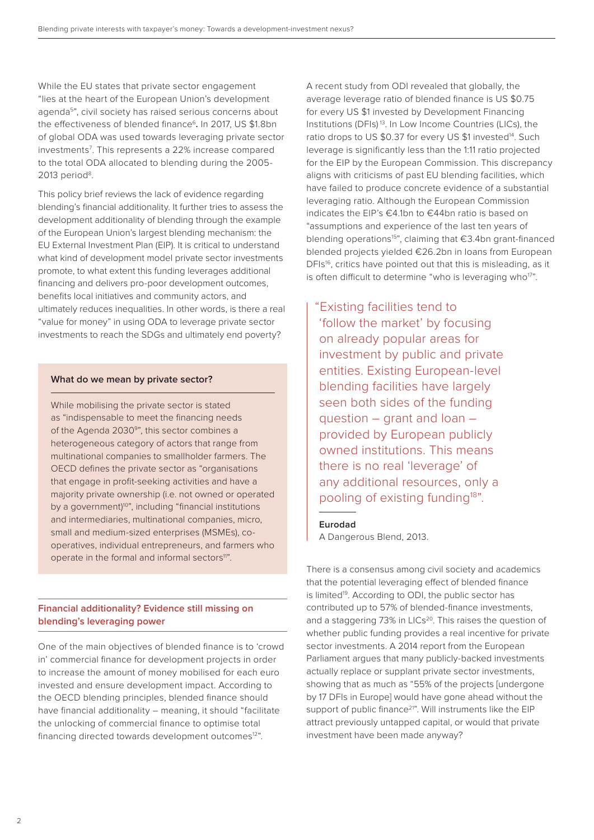While the EU states that private sector engagement "lies at the heart of the European Union's development agenda5", civil society has raised serious concerns about the effectiveness of blended finance<sup>6</sup>. In 2017, US \$1.8bn of global ODA was used towards leveraging private sector investments7 . This represents a 22% increase compared to the total ODA allocated to blending during the 2005- 2013 period<sup>8</sup>.

This policy brief reviews the lack of evidence regarding blending's financial additionality. It further tries to assess the development additionality of blending through the example of the European Union's largest blending mechanism: the EU External Investment Plan (EIP). It is critical to understand what kind of development model private sector investments promote, to what extent this funding leverages additional financing and delivers pro-poor development outcomes, benefits local initiatives and community actors, and ultimately reduces inequalities. In other words, is there a real "value for money" in using ODA to leverage private sector investments to reach the SDGs and ultimately end poverty?

## **What do we mean by private sector?**

While mobilising the private sector is stated as "indispensable to meet the financing needs of the Agenda 2030<sup>9</sup>", this sector combines a heterogeneous category of actors that range from multinational companies to smallholder farmers. The OECD defines the private sector as "organisations that engage in profit-seeking activities and have a majority private ownership (i.e. not owned or operated by a government)<sup>10</sup>", including "financial institutions and intermediaries, multinational companies, micro, small and medium-sized enterprises (MSMEs), cooperatives, individual entrepreneurs, and farmers who operate in the formal and informal sectors<sup>11"</sup>.

## **Financial additionality? Evidence still missing on blending's leveraging power**

One of the main objectives of blended finance is to 'crowd in' commercial finance for development projects in order to increase the amount of money mobilised for each euro invested and ensure development impact. According to the OECD blending principles, blended finance should have financial additionality – meaning, it should "facilitate the unlocking of commercial finance to optimise total financing directed towards development outcomes<sup>12"</sup>.

A recent study from ODI revealed that globally, the average leverage ratio of blended finance is US \$0.75 for every US \$1 invested by Development Financing Institutions (DFIs) 13. In Low Income Countries (LICs), the ratio drops to US \$0.37 for every US \$1 invested<sup>14</sup>. Such leverage is significantly less than the 1:11 ratio projected for the EIP by the European Commission. This discrepancy aligns with criticisms of past EU blending facilities, which have failed to produce concrete evidence of a substantial leveraging ratio. Although the European Commission indicates the EIP's €4.1bn to €44bn ratio is based on "assumptions and experience of the last ten years of blending operations15", claiming that €3.4bn grant-financed blended projects yielded €26.2bn in loans from European DFIs<sup>16</sup>, critics have pointed out that this is misleading, as it is often difficult to determine "who is leveraging who $17"$ .

"Existing facilities tend to 'follow the market' by focusing on already popular areas for investment by public and private entities. Existing European-level blending facilities have largely seen both sides of the funding question – grant and loan – provided by European publicly owned institutions. This means there is no real 'leverage' of any additional resources, only a pooling of existing funding<sup>18"</sup>.

#### **Eurodad**

A Dangerous Blend, 2013.

There is a consensus among civil society and academics that the potential leveraging effect of blended finance is limited<sup>19</sup>. According to ODI, the public sector has contributed up to 57% of blended-finance investments, and a staggering 73% in LICs<sup>20</sup>. This raises the question of whether public funding provides a real incentive for private sector investments. A 2014 report from the European Parliament argues that many publicly-backed investments actually replace or supplant private sector investments, showing that as much as "55% of the projects [undergone by 17 DFIs in Europe] would have gone ahead without the support of public finance<sup>21"</sup>. Will instruments like the EIP attract previously untapped capital, or would that private investment have been made anyway?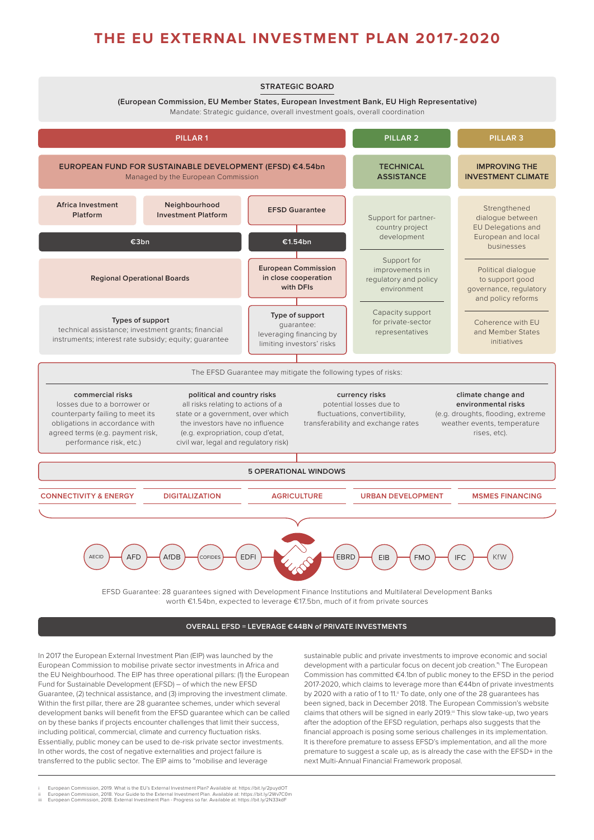## **THE EU EXTERNAL INVESTMENT PLAN 2017-2020**



worth €1.54bn, expected to leverage €17.5bn, much of it from private sources

#### **OVERALL EFSD = LEVERAGE €44BN of PRIVATE INVESTMENTS**

In 2017 the European External Investment Plan (EIP) was launched by the European Commission to mobilise private sector investments in Africa and the EU Neighbourhood. The EIP has three operational pillars: (1) the European Fund for Sustainable Development (EFSD) – of which the new EFSD Guarantee, (2) technical assistance, and (3) improving the investment climate. Within the first pillar, there are 28 guarantee schemes, under which several development banks will benefit from the EFSD guarantee which can be called on by these banks if projects encounter challenges that limit their success, including political, commercial, climate and currency fluctuation risks. Essentially, public money can be used to de-risk private sector investments. In other words, the cost of negative externalities and project failure is transferred to the public sector. The EIP aims to "mobilise and leverage

sustainable public and private investments to improve economic and social development with a particular focus on decent job creation." The European Commission has committed €4.1bn of public money to the EFSD in the period 2017-2020, which claims to leverage more than €44bn of private investments by 2020 with a ratio of 1 to 11.<sup>ii</sup> To date, only one of the 28 guarantees has been signed, back in December 2018. The European Commission's website claims that others will be signed in early 2019.<sup>ii</sup> This slow take-up, two years after the adoption of the EFSD regulation, perhaps also suggests that the financial approach is posing some serious challenges in its implementation. It is therefore premature to assess EFSD's implementation, and all the more premature to suggest a scale up, as is already the case with the EFSD+ in the next Multi-Annual Financial Framework proposal.

ii European Commission, 2018. Your Guide to the External Investment Plan. Available at: <https://bit.ly/2Wv7C0m> iii European Commission, 2018. External Investment Plan - Progress so far. Available at: <https://bit.ly/2N33kdF>

i European Commission, 2019. What is the EU's External Investment Plan? Available at:<https://bit.ly/2puydOT>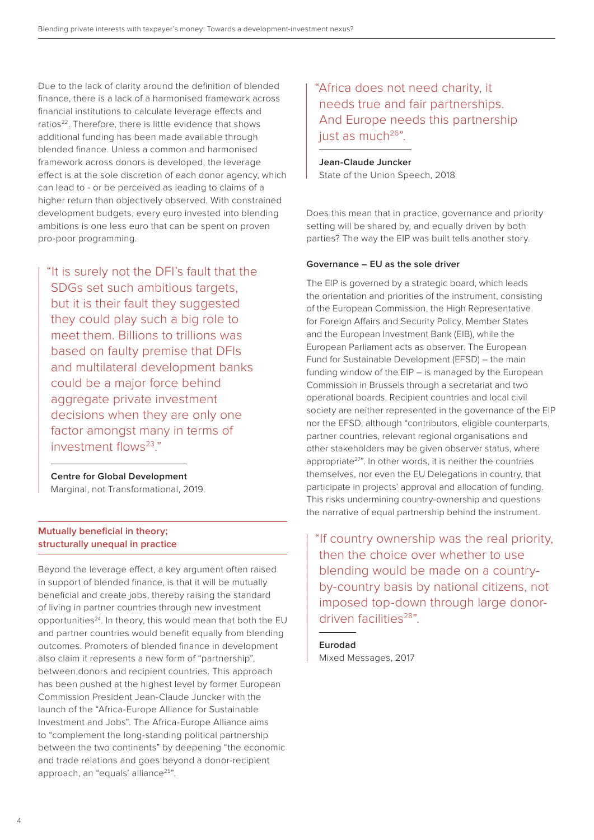Due to the lack of clarity around the definition of blended finance, there is a lack of a harmonised framework across financial institutions to calculate leverage effects and ratios<sup>22</sup>. Therefore, there is little evidence that shows additional funding has been made available through blended finance. Unless a common and harmonised framework across donors is developed, the leverage effect is at the sole discretion of each donor agency, which can lead to - or be perceived as leading to claims of a higher return than objectively observed. With constrained development budgets, every euro invested into blending ambitions is one less euro that can be spent on proven pro-poor programming.

"It is surely not the DFI's fault that the SDGs set such ambitious targets, but it is their fault they suggested they could play such a big role to meet them. Billions to trillions was based on faulty premise that DFIs and multilateral development banks could be a major force behind aggregate private investment decisions when they are only one factor amongst many in terms of investment flows $^{23}$ "

**Centre for Global Development** Marginal, not Transformational, 2019.

## **Mutually beneficial in theory; structurally unequal in practice**

Beyond the leverage effect, a key argument often raised in support of blended finance, is that it will be mutually beneficial and create jobs, thereby raising the standard of living in partner countries through new investment opportunities<sup>24</sup>. In theory, this would mean that both the EU and partner countries would benefit equally from blending outcomes. Promoters of blended finance in development also claim it represents a new form of "partnership", between donors and recipient countries. This approach has been pushed at the highest level by former European Commission President Jean-Claude Juncker with the launch of the "Africa-Europe Alliance for Sustainable Investment and Jobs". The Africa-Europe Alliance aims to "complement the long-standing political partnership between the two continents" by deepening "the economic and trade relations and goes beyond a donor-recipient approach, an "equals' alliance<sup>25</sup>".

## "Africa does not need charity, it needs true and fair partnerships. And Europe needs this partnership just as much<sup>26"</sup>.

**Jean-Claude Juncker** State of the Union Speech, 2018

Does this mean that in practice, governance and priority setting will be shared by, and equally driven by both parties? The way the EIP was built tells another story.

## **Governance – EU as the sole driver**

The EIP is governed by a strategic board, which leads the orientation and priorities of the instrument, consisting of the European Commission, the High Representative for Foreign Affairs and Security Policy, Member States and the European Investment Bank (EIB), while the European Parliament acts as observer. The European Fund for Sustainable Development (EFSD) – the main funding window of the EIP – is managed by the European Commission in Brussels through a secretariat and two operational boards. Recipient countries and local civil society are neither represented in the governance of the EIP nor the EFSD, although "contributors, eligible counterparts, partner countries, relevant regional organisations and other stakeholders may be given observer status, where appropriate<sup>27"</sup>. In other words, it is neither the countries themselves, nor even the EU Delegations in country, that participate in projects' approval and allocation of funding. This risks undermining country-ownership and questions the narrative of equal partnership behind the instrument.

"If country ownership was the real priority, then the choice over whether to use blending would be made on a countryby-country basis by national citizens, not imposed top-down through large donordriven facilities28".

**Eurodad** Mixed Messages, 2017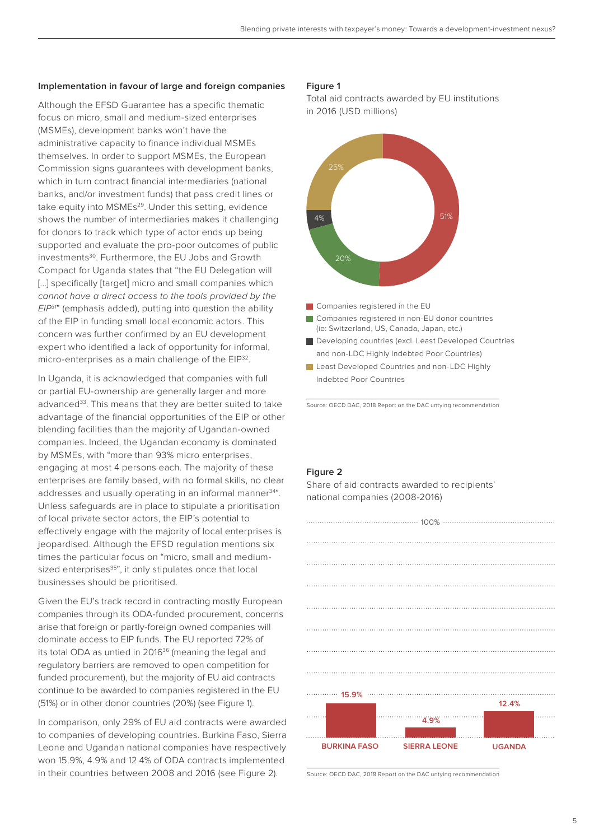## **Implementation in favour of large and foreign companies**

Although the EFSD Guarantee has a specific thematic focus on micro, small and medium-sized enterprises (MSMEs), development banks won't have the administrative capacity to finance individual MSMEs themselves. In order to support MSMEs, the European Commission signs guarantees with development banks, which in turn contract financial intermediaries (national banks, and/or investment funds) that pass credit lines or take equity into MSMEs<sup>29</sup>. Under this setting, evidence shows the number of intermediaries makes it challenging for donors to track which type of actor ends up being supported and evaluate the pro-poor outcomes of public investments<sup>30</sup>. Furthermore, the EU Jobs and Growth Compact for Uganda states that "the EU Delegation will [...] specifically [target] micro and small companies which *cannot have a direct access to the tools provided by the EIP31*" (emphasis added), putting into question the ability of the EIP in funding small local economic actors. This concern was further confirmed by an EU development expert who identified a lack of opportunity for informal, micro-enterprises as a main challenge of the EIP<sup>32</sup>.

In Uganda, it is acknowledged that companies with full or partial EU-ownership are generally larger and more advanced<sup>33</sup>. This means that they are better suited to take advantage of the financial opportunities of the EIP or other blending facilities than the majority of Ugandan-owned companies. Indeed, the Ugandan economy is dominated by MSMEs, with "more than 93% micro enterprises, engaging at most 4 persons each. The majority of these enterprises are family based, with no formal skills, no clear addresses and usually operating in an informal manner<sup>34"</sup>. Unless safeguards are in place to stipulate a prioritisation of local private sector actors, the EIP's potential to effectively engage with the majority of local enterprises is jeopardised. Although the EFSD regulation mentions six times the particular focus on "micro, small and mediumsized enterprises<sup>35"</sup>, it only stipulates once that local businesses should be prioritised.

Given the EU's track record in contracting mostly European companies through its ODA-funded procurement, concerns arise that foreign or partly-foreign owned companies will dominate access to EIP funds. The EU reported 72% of its total ODA as untied in 2016<sup>36</sup> (meaning the legal and regulatory barriers are removed to open competition for funded procurement), but the majority of EU aid contracts continue to be awarded to companies registered in the EU (51%) or in other donor countries (20%) (see Figure 1).

In comparison, only 29% of EU aid contracts were awarded to companies of developing countries. Burkina Faso, Sierra Leone and Ugandan national companies have respectively won 15.9%, 4.9% and 12.4% of ODA contracts implemented in their countries between 2008 and 2016 (see Figure 2).

## **Figure 1**

Total aid contracts awarded by EU institutions in 2016 (USD millions)



Least Developed Countries and non-LDC Highly Indebted Poor Countries

Source: OECD DAC, 2018 Report on the DAC untying recommendation

#### **Figure 2**

Share of aid contracts awarded to recipients' national companies (2008-2016)



Source: OECD DAC, 2018 Report on the DAC untying recommendation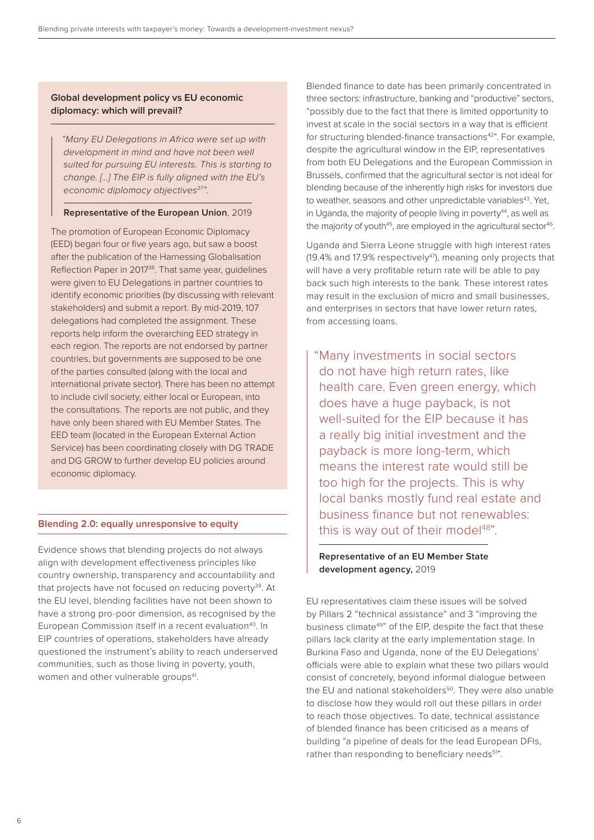## **Global development policy vs EU economic diplomacy: which will prevail?**

 *"Many EU Delegations in Africa were set up with development in mind and have not been well suited for pursuing EU interests. This is starting to change. […] The EIP is fully aligned with the EU's economic diplomacy objectives37".*

## **Representative of the European Union**, 2019

The promotion of European Economic Diplomacy (EED) began four or five years ago, but saw a boost after the publication of the Harnessing Globalisation Reflection Paper in 2017<sup>38</sup>. That same year, guidelines were given to EU Delegations in partner countries to identify economic priorities (by discussing with relevant stakeholders) and submit a report. By mid-2019, 107 delegations had completed the assignment. These reports help inform the overarching EED strategy in each region. The reports are not endorsed by partner countries, but governments are supposed to be one of the parties consulted (along with the local and international private sector). There has been no attempt to include civil society, either local or European, into the consultations. The reports are not public, and they have only been shared with EU Member States. The EED team (located in the European External Action Service) has been coordinating closely with DG TRADE and DG GROW to further develop EU policies around economic diplomacy.

## **Blending 2.0: equally unresponsive to equity**

Evidence shows that blending projects do not always align with development effectiveness principles like country ownership, transparency and accountability and that projects have not focused on reducing poverty<sup>39</sup>. At the EU level, blending facilities have not been shown to have a strong pro-poor dimension, as recognised by the European Commission itself in a recent evaluation<sup>40</sup>. In EIP countries of operations, stakeholders have already questioned the instrument's ability to reach underserved communities, such as those living in poverty, youth, women and other vulnerable groups<sup>41</sup>.

Blended finance to date has been primarily concentrated in three sectors: infrastructure, banking and "productive" sectors, "possibly due to the fact that there is limited opportunity to invest at scale in the social sectors in a way that is efficient for structuring blended-finance transactions<sup>42</sup>". For example, despite the agricultural window in the EIP, representatives from both EU Delegations and the European Commission in Brussels, confirmed that the agricultural sector is not ideal for blending because of the inherently high risks for investors due to weather, seasons and other unpredictable variables<sup>43</sup>. Yet, in Uganda, the majority of people living in poverty $44$ , as well as the majority of youth<sup>45</sup>, are employed in the agricultural sector<sup>46</sup>.

Uganda and Sierra Leone struggle with high interest rates (19.4% and 17.9% respectively<sup>47</sup>), meaning only projects that will have a very profitable return rate will be able to pay back such high interests to the bank. These interest rates may result in the exclusion of micro and small businesses, and enterprises in sectors that have lower return rates, from accessing loans.

 "Many investments in social sectors do not have high return rates, like health care. Even green energy, which does have a huge payback, is not well-suited for the EIP because it has a really big initial investment and the payback is more long-term, which means the interest rate would still be too high for the projects. This is why local banks mostly fund real estate and business finance but not renewables: this is way out of their model<sup>48"</sup>.

## **Representative of an EU Member State development agency,** 2019

EU representatives claim these issues will be solved by Pillars 2 "technical assistance" and 3 "improving the business climate<sup>49</sup>" of the EIP, despite the fact that these pillars lack clarity at the early implementation stage. In Burkina Faso and Uganda, none of the EU Delegations' officials were able to explain what these two pillars would consist of concretely, beyond informal dialogue between the EU and national stakeholders<sup>50</sup>. They were also unable to disclose how they would roll out these pillars in order to reach those objectives. To date, technical assistance of blended finance has been criticised as a means of building "a pipeline of deals for the lead European DFIs, rather than responding to beneficiary needs<sup>51</sup>".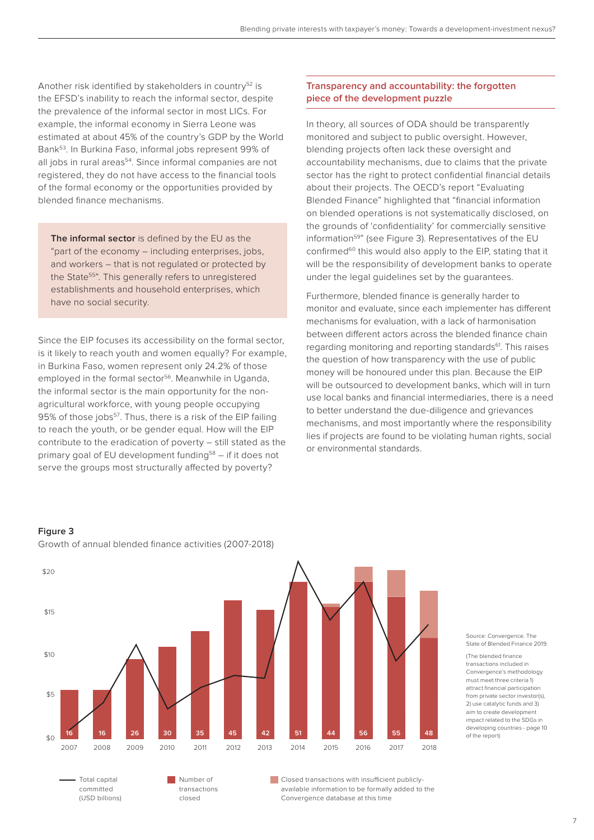Another risk identified by stakeholders in country<sup>52</sup> is the EFSD's inability to reach the informal sector, despite the prevalence of the informal sector in most LICs. For example, the informal economy in Sierra Leone was estimated at about 45% of the country's GDP by the World Bank53. In Burkina Faso, informal jobs represent 99% of all jobs in rural areas<sup>54</sup>. Since informal companies are not registered, they do not have access to the financial tools of the formal economy or the opportunities provided by blended finance mechanisms.

**The informal sector** is defined by the EU as the "part of the economy – including enterprises, jobs, and workers – that is not regulated or protected by the State<sup>55</sup>". This generally refers to unregistered establishments and household enterprises, which have no social security.

Since the EIP focuses its accessibility on the formal sector, is it likely to reach youth and women equally? For example, in Burkina Faso, women represent only 24.2% of those employed in the formal sector<sup>56</sup>. Meanwhile in Uganda, the informal sector is the main opportunity for the nonagricultural workforce, with young people occupying 95% of those jobs<sup>57</sup>. Thus, there is a risk of the EIP failing to reach the youth, or be gender equal. How will the EIP contribute to the eradication of poverty – still stated as the primary goal of EU development funding<sup>58</sup> – if it does not serve the groups most structurally affected by poverty?

## **Transparency and accountability: the forgotten piece of the development puzzle**

In theory, all sources of ODA should be transparently monitored and subject to public oversight. However, blending projects often lack these oversight and accountability mechanisms, due to claims that the private sector has the right to protect confidential financial details about their projects. The OECD's report "Evaluating Blended Finance" highlighted that "financial information on blended operations is not systematically disclosed, on the grounds of 'confidentiality' for commercially sensitive information<sup>59"</sup> (see Figure 3). Representatives of the EU confirmed<sup>60</sup> this would also apply to the EIP, stating that it will be the responsibility of development banks to operate under the legal guidelines set by the guarantees.

Furthermore, blended finance is generally harder to monitor and evaluate, since each implementer has different mechanisms for evaluation, with a lack of harmonisation between different actors across the blended finance chain regarding monitoring and reporting standards<sup>61</sup>. This raises the question of how transparency with the use of public money will be honoured under this plan. Because the EIP will be outsourced to development banks, which will in turn use local banks and financial intermediaries, there is a need to better understand the due-diligence and grievances mechanisms, and most importantly where the responsibility lies if projects are found to be violating human rights, social or environmental standards.

## **Figure 3**

committed (USD billions)



available information to be formally added to the

Convergence database at this time

transactions closed

Growth of annual blended finance activities (2007-2018)

#### Source: Convergence. The State of Blended Finance 2019.

(The blended finance transactions included in Convergence's methodology must meet three criteria 1) attract financial participation from private sector investor(s), 2) use catalytic funds and 3) aim to create development impact related to the SDGs in developing countries - page 10 of the report)